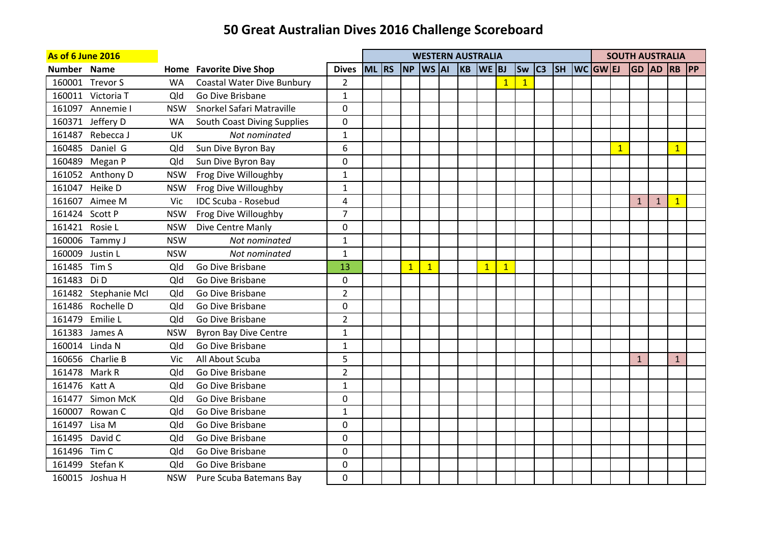| <b>As of 6 June 2016</b> |                      |            |                                   |                |         |                |                                     | <b>WESTERN AUSTRALIA</b> |                |                |                |  |                        |              |              |              | <b>SOUTH AUSTRALIA</b> |  |
|--------------------------|----------------------|------------|-----------------------------------|----------------|---------|----------------|-------------------------------------|--------------------------|----------------|----------------|----------------|--|------------------------|--------------|--------------|--------------|------------------------|--|
| Number Name              |                      |            | <b>Home Favorite Dive Shop</b>    | <b>Dives</b>   | $ML$ RS |                | $\sqrt{NP}$ $\sqrt{WS}$ $\sqrt{AI}$ | $KB$ WE BJ               |                |                | <b>Sw</b>      |  | $ C3 $ SH $ WC GW EJ $ |              |              |              | GD  AD  RB  PP         |  |
|                          | 160001 Trevor S      | <b>WA</b>  | <b>Coastal Water Dive Bunbury</b> | $\overline{2}$ |         |                |                                     |                          |                | $\mathbf{1}$   | $\overline{1}$ |  |                        |              |              |              |                        |  |
|                          | 160011 Victoria T    | Qld        | Go Dive Brisbane                  | $\mathbf 1$    |         |                |                                     |                          |                |                |                |  |                        |              |              |              |                        |  |
|                          | 161097 Annemie I     | <b>NSW</b> | Snorkel Safari Matraville         | 0              |         |                |                                     |                          |                |                |                |  |                        |              |              |              |                        |  |
|                          | 160371 Jeffery D     | <b>WA</b>  | South Coast Diving Supplies       | 0              |         |                |                                     |                          |                |                |                |  |                        |              |              |              |                        |  |
|                          | 161487 Rebecca J     | UK         | Not nominated                     | $\mathbf 1$    |         |                |                                     |                          |                |                |                |  |                        |              |              |              |                        |  |
|                          | 160485 Daniel G      | Qld        | Sun Dive Byron Bay                | 6              |         |                |                                     |                          |                |                |                |  |                        | $\mathbf{1}$ |              |              | $\mathbf{1}$           |  |
|                          | 160489 Megan P       | Qld        | Sun Dive Byron Bay                | 0              |         |                |                                     |                          |                |                |                |  |                        |              |              |              |                        |  |
|                          | 161052 Anthony D     | <b>NSW</b> | Frog Dive Willoughby              | $\mathbf{1}$   |         |                |                                     |                          |                |                |                |  |                        |              |              |              |                        |  |
|                          | 161047 Heike D       | <b>NSW</b> | Frog Dive Willoughby              | $\mathbf{1}$   |         |                |                                     |                          |                |                |                |  |                        |              |              |              |                        |  |
|                          | 161607 Aimee M       | Vic        | <b>IDC Scuba - Rosebud</b>        | 4              |         |                |                                     |                          |                |                |                |  |                        |              | $\mathbf{1}$ | $\mathbf{1}$ | $\mathbf{1}$           |  |
| 161424 Scott P           |                      | <b>NSW</b> | Frog Dive Willoughby              | $\overline{7}$ |         |                |                                     |                          |                |                |                |  |                        |              |              |              |                        |  |
| 161421 Rosie L           |                      | <b>NSW</b> | Dive Centre Manly                 | 0              |         |                |                                     |                          |                |                |                |  |                        |              |              |              |                        |  |
|                          | 160006 Tammy J       | <b>NSW</b> | Not nominated                     | $\mathbf{1}$   |         |                |                                     |                          |                |                |                |  |                        |              |              |              |                        |  |
|                          | 160009 Justin L      | <b>NSW</b> | Not nominated                     | $\mathbf 1$    |         |                |                                     |                          |                |                |                |  |                        |              |              |              |                        |  |
| 161485 Tim S             |                      | Qld        | Go Dive Brisbane                  | 13             |         | $\overline{1}$ | $\mathbf{1}$                        |                          | $\overline{1}$ | $\overline{1}$ |                |  |                        |              |              |              |                        |  |
| 161483 Di D              |                      | Qld        | Go Dive Brisbane                  | 0              |         |                |                                     |                          |                |                |                |  |                        |              |              |              |                        |  |
|                          | 161482 Stephanie McI | Qld        | Go Dive Brisbane                  | $\overline{2}$ |         |                |                                     |                          |                |                |                |  |                        |              |              |              |                        |  |
|                          | 161486 Rochelle D    | Qld        | Go Dive Brisbane                  | 0              |         |                |                                     |                          |                |                |                |  |                        |              |              |              |                        |  |
|                          | 161479 Emilie L      | Qld        | Go Dive Brisbane                  | $\overline{2}$ |         |                |                                     |                          |                |                |                |  |                        |              |              |              |                        |  |
|                          | 161383 James A       | <b>NSW</b> | <b>Byron Bay Dive Centre</b>      | $\mathbf{1}$   |         |                |                                     |                          |                |                |                |  |                        |              |              |              |                        |  |
|                          | 160014 Linda N       | Qld        | Go Dive Brisbane                  | $\mathbf 1$    |         |                |                                     |                          |                |                |                |  |                        |              |              |              |                        |  |
|                          | 160656 Charlie B     | Vic        | All About Scuba                   | 5              |         |                |                                     |                          |                |                |                |  |                        |              | $\mathbf{1}$ |              | $\mathbf{1}$           |  |
| 161478 Mark R            |                      | Qld        | Go Dive Brisbane                  | $\overline{2}$ |         |                |                                     |                          |                |                |                |  |                        |              |              |              |                        |  |
| 161476 Katt A            |                      | Qld        | Go Dive Brisbane                  | $\mathbf{1}$   |         |                |                                     |                          |                |                |                |  |                        |              |              |              |                        |  |
|                          | 161477 Simon McK     | Qld        | Go Dive Brisbane                  | 0              |         |                |                                     |                          |                |                |                |  |                        |              |              |              |                        |  |
|                          | 160007 Rowan C       | Qld        | Go Dive Brisbane                  | $\mathbf 1$    |         |                |                                     |                          |                |                |                |  |                        |              |              |              |                        |  |
| 161497 Lisa M            |                      | Qld        | Go Dive Brisbane                  | 0              |         |                |                                     |                          |                |                |                |  |                        |              |              |              |                        |  |
|                          | 161495 David C       | Qld        | Go Dive Brisbane                  | 0              |         |                |                                     |                          |                |                |                |  |                        |              |              |              |                        |  |
| 161496 Tim C             |                      | Qld        | Go Dive Brisbane                  | 0              |         |                |                                     |                          |                |                |                |  |                        |              |              |              |                        |  |
|                          | 161499 Stefan K      | Qld        | Go Dive Brisbane                  | 0              |         |                |                                     |                          |                |                |                |  |                        |              |              |              |                        |  |
|                          | 160015 Joshua H      | <b>NSW</b> | Pure Scuba Batemans Bay           | $\Omega$       |         |                |                                     |                          |                |                |                |  |                        |              |              |              |                        |  |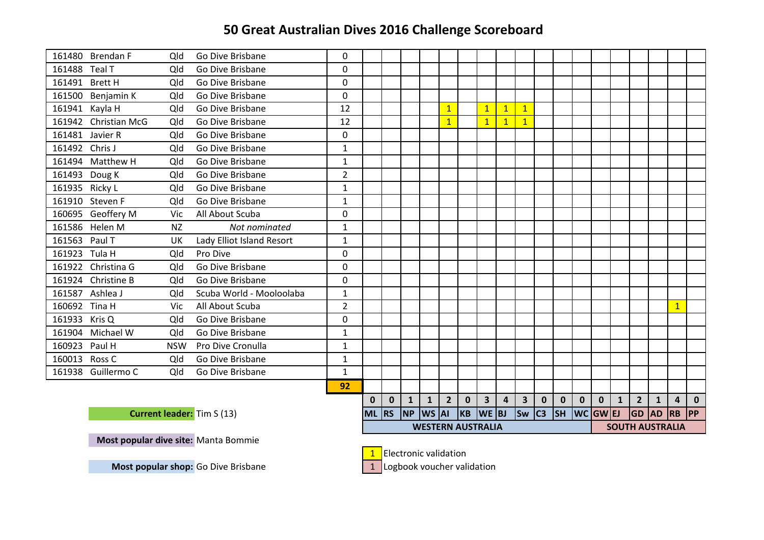|                | 161480 Brendan F     | Qld        | Go Dive Brisbane                  | 0              |           |           |                |  |                |             |                          |                         |                               |             |             |             |             |              |                        |              |                |             |
|----------------|----------------------|------------|-----------------------------------|----------------|-----------|-----------|----------------|--|----------------|-------------|--------------------------|-------------------------|-------------------------------|-------------|-------------|-------------|-------------|--------------|------------------------|--------------|----------------|-------------|
| 161488 Teal T  |                      | Qld        | Go Dive Brisbane                  | $\mathbf{0}$   |           |           |                |  |                |             |                          |                         |                               |             |             |             |             |              |                        |              |                |             |
|                | 161491 Brett H       | Qld        | Go Dive Brisbane                  | $\Omega$       |           |           |                |  |                |             |                          |                         |                               |             |             |             |             |              |                        |              |                |             |
|                | 161500 Benjamin K    | Qld        | Go Dive Brisbane                  | $\mathbf 0$    |           |           |                |  |                |             |                          |                         |                               |             |             |             |             |              |                        |              |                |             |
|                | 161941 Kayla H       | Qld        | Go Dive Brisbane                  | 12             |           |           |                |  | 1              |             | 1                        | $\overline{1}$          | $\mathbf{1}$                  |             |             |             |             |              |                        |              |                |             |
|                | 161942 Christian McG | Qld        | Go Dive Brisbane                  | 12             |           |           |                |  |                |             | $\mathbf{1}$             | $\overline{1}$          | $\mathbf{1}$                  |             |             |             |             |              |                        |              |                |             |
|                | 161481 Javier R      | Qld        | Go Dive Brisbane                  | $\Omega$       |           |           |                |  |                |             |                          |                         |                               |             |             |             |             |              |                        |              |                |             |
| 161492 Chris J |                      | Qld        | Go Dive Brisbane                  | $\mathbf{1}$   |           |           |                |  |                |             |                          |                         |                               |             |             |             |             |              |                        |              |                |             |
|                | 161494 Matthew H     | Qld        | Go Dive Brisbane                  | $\mathbf{1}$   |           |           |                |  |                |             |                          |                         |                               |             |             |             |             |              |                        |              |                |             |
|                | 161493 Doug K        | Qld        | Go Dive Brisbane                  | $\overline{2}$ |           |           |                |  |                |             |                          |                         |                               |             |             |             |             |              |                        |              |                |             |
| 161935 Ricky L |                      | Qld        | Go Dive Brisbane                  | $\mathbf{1}$   |           |           |                |  |                |             |                          |                         |                               |             |             |             |             |              |                        |              |                |             |
|                | 161910 Steven F      | Qld        | Go Dive Brisbane                  | $\mathbf{1}$   |           |           |                |  |                |             |                          |                         |                               |             |             |             |             |              |                        |              |                |             |
|                | 160695 Geoffery M    | Vic        | All About Scuba                   | 0              |           |           |                |  |                |             |                          |                         |                               |             |             |             |             |              |                        |              |                |             |
|                | 161586 Helen M       | <b>NZ</b>  | Not nominated                     | $\mathbf{1}$   |           |           |                |  |                |             |                          |                         |                               |             |             |             |             |              |                        |              |                |             |
| 161563 Paul T  |                      | UK         | Lady Elliot Island Resort         | $\mathbf{1}$   |           |           |                |  |                |             |                          |                         |                               |             |             |             |             |              |                        |              |                |             |
| 161923 Tula H  |                      | Qld        | Pro Dive                          | $\Omega$       |           |           |                |  |                |             |                          |                         |                               |             |             |             |             |              |                        |              |                |             |
|                | 161922 Christina G   | Qld        | Go Dive Brisbane                  | $\Omega$       |           |           |                |  |                |             |                          |                         |                               |             |             |             |             |              |                        |              |                |             |
|                | 161924 Christine B   | Qld        | Go Dive Brisbane                  | $\Omega$       |           |           |                |  |                |             |                          |                         |                               |             |             |             |             |              |                        |              |                |             |
|                | 161587 Ashlea J      | Qld        | Scuba World - Mooloolaba          | $\mathbf{1}$   |           |           |                |  |                |             |                          |                         |                               |             |             |             |             |              |                        |              |                |             |
| 160692 Tina H  |                      | Vic        | All About Scuba                   | $\overline{2}$ |           |           |                |  |                |             |                          |                         |                               |             |             |             |             |              |                        |              | $\mathbf{1}$   |             |
| 161933 Kris Q  |                      | Qld        | Go Dive Brisbane                  | 0              |           |           |                |  |                |             |                          |                         |                               |             |             |             |             |              |                        |              |                |             |
|                | 161904 Michael W     | Qld        | Go Dive Brisbane                  | $\mathbf{1}$   |           |           |                |  |                |             |                          |                         |                               |             |             |             |             |              |                        |              |                |             |
| 160923 Paul H  |                      | <b>NSW</b> | Pro Dive Cronulla                 | $\mathbf{1}$   |           |           |                |  |                |             |                          |                         |                               |             |             |             |             |              |                        |              |                |             |
| 160013 Ross C  |                      | Qld        | Go Dive Brisbane                  | $\mathbf{1}$   |           |           |                |  |                |             |                          |                         |                               |             |             |             |             |              |                        |              |                |             |
|                | 161938 Guillermo C   | Qld        | Go Dive Brisbane                  | $\mathbf{1}$   |           |           |                |  |                |             |                          |                         |                               |             |             |             |             |              |                        |              |                |             |
|                |                      |            |                                   | 92             |           |           |                |  |                |             |                          |                         |                               |             |             |             |             |              |                        |              |                |             |
|                |                      |            |                                   |                |           |           |                |  | $\overline{2}$ | $\mathbf 0$ | 3 <sup>1</sup>           | $\overline{\mathbf{4}}$ | $\overline{\mathbf{3}}$       | $\mathbf 0$ | $\mathbf 0$ | $\mathbf 0$ | $\mathbf 0$ | $\mathbf{1}$ | $2^{\circ}$            | $\mathbf{1}$ | $\overline{a}$ | $\mathbf 0$ |
|                |                      |            | <b>Current leader:</b> Tim S (13) |                | <b>ML</b> | <b>RS</b> | $NP$ $WS$ $AI$ |  |                |             | $KB$ WE BJ               |                         | $\left  \text{Sw} \right $ C3 |             | <b>SH</b>   | WC GW EJ    |             |              | <b>GD AD RB</b>        |              |                | PP          |
|                |                      |            |                                   |                |           |           |                |  |                |             | <b>WESTERN AUSTRALIA</b> |                         |                               |             |             |             |             |              | <b>SOUTH AUSTRALIA</b> |              |                |             |

Most popular dive site: Manta Bommie

**1** Electronic validation

1 Logbook voucher validation

**Most popular shop:** Go Dive Brisbane e 1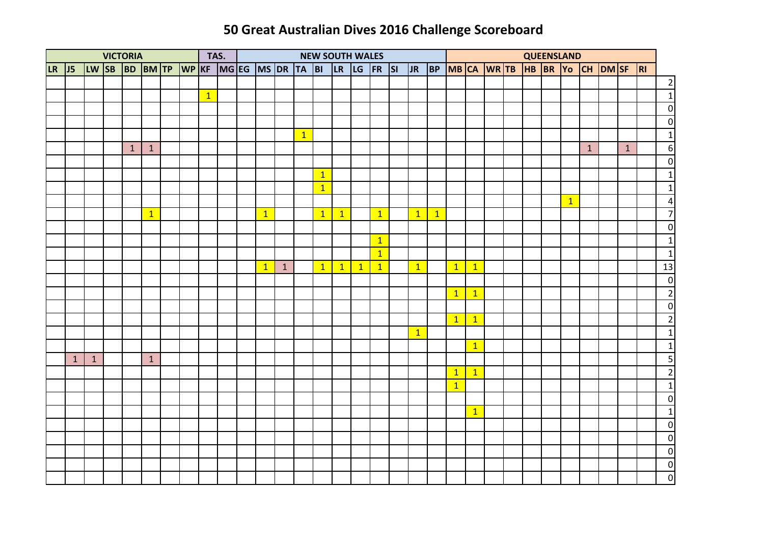|              |              |              | <b>VICTORIA</b> |                                        |  | TAS.         |  |              |              |           | <b>NEW SOUTH WALES</b> |              |              |                |                |              |                                     |                |  | QUEENSLAND |              |              |              |                         |
|--------------|--------------|--------------|-----------------|----------------------------------------|--|--------------|--|--------------|--------------|-----------|------------------------|--------------|--------------|----------------|----------------|--------------|-------------------------------------|----------------|--|------------|--------------|--------------|--------------|-------------------------|
| <b>LR</b> 15 |              |              |                 | LW SB BD BM TP WP KF MG EG MS DR TA BI |  |              |  |              |              |           |                        |              |              | LR LG FR S     |                |              | JR BP MBCA WRTB HB BR YO CH DMSF RI |                |  |            |              |              |              |                         |
|              |              |              |                 |                                        |  |              |  |              |              |           |                        |              |              |                |                |              |                                     |                |  |            |              |              |              | $\overline{2}$          |
|              |              |              |                 |                                        |  | $\mathbf{1}$ |  |              |              |           |                        |              |              |                |                |              |                                     |                |  |            |              |              |              | $\mathbf{1}$            |
|              |              |              |                 |                                        |  |              |  |              |              |           |                        |              |              |                |                |              |                                     |                |  |            |              |              |              | $\circ$                 |
|              |              |              |                 |                                        |  |              |  |              |              |           |                        |              |              |                |                |              |                                     |                |  |            |              |              |              | $\overline{\mathbf{0}}$ |
|              |              |              |                 |                                        |  |              |  |              |              | $\vert$ 1 |                        |              |              |                |                |              |                                     |                |  |            |              |              |              | $\mathbf{1}$            |
|              |              |              | $\mathbf{1}$    | $\mathbf{1}$                           |  |              |  |              |              |           |                        |              |              |                |                |              |                                     |                |  |            |              | $\mathbf{1}$ | $\mathbf{1}$ | $\overline{6}$          |
|              |              |              |                 |                                        |  |              |  |              |              |           |                        |              |              |                |                |              |                                     |                |  |            |              |              |              | $\overline{\mathbf{0}}$ |
|              |              |              |                 |                                        |  |              |  |              |              |           | $\mathbf{1}$           |              |              |                |                |              |                                     |                |  |            |              |              |              | $1\vert$                |
|              |              |              |                 |                                        |  |              |  |              |              |           | $\overline{1}$         |              |              |                |                |              |                                     |                |  |            |              |              |              | $1\vert$                |
|              |              |              |                 |                                        |  |              |  |              |              |           |                        |              |              |                |                |              |                                     |                |  |            | $\mathbf{1}$ |              |              | $\overline{a}$          |
|              |              |              |                 | $\mathbf{1}$                           |  |              |  | $\mathbf{1}$ |              |           | $\mathbf{1}$           | $\mathbf{1}$ |              | $\overline{1}$ | $\boxed{1}$    | $\mathbf{1}$ |                                     |                |  |            |              |              |              | $\overline{7}$          |
|              |              |              |                 |                                        |  |              |  |              |              |           |                        |              |              |                |                |              |                                     |                |  |            |              |              |              | $\overline{0}$          |
|              |              |              |                 |                                        |  |              |  |              |              |           |                        |              |              | $\mathbf{1}$   |                |              |                                     |                |  |            |              |              |              | $1\vert$                |
|              |              |              |                 |                                        |  |              |  |              |              |           |                        |              |              | $\mathbf{1}$   |                |              |                                     |                |  |            |              |              |              | $\mathbf{1}$            |
|              |              |              |                 |                                        |  |              |  | $\mathbf{1}$ | $\mathbf{1}$ |           | $\mathbf{1}$           | $\mathbf{1}$ | $\mathbf{1}$ | $\mathbf{1}$   | $\vert$ 1      |              | $\overline{1}$                      | $\mathbf{1}$   |  |            |              |              |              | 13                      |
|              |              |              |                 |                                        |  |              |  |              |              |           |                        |              |              |                |                |              |                                     |                |  |            |              |              |              | $\overline{0}$          |
|              |              |              |                 |                                        |  |              |  |              |              |           |                        |              |              |                |                |              | $\overline{1}$                      | $\vert$ 1      |  |            |              |              |              | $\overline{\mathbf{c}}$ |
|              |              |              |                 |                                        |  |              |  |              |              |           |                        |              |              |                |                |              |                                     |                |  |            |              |              |              | $\overline{\mathbf{0}}$ |
|              |              |              |                 |                                        |  |              |  |              |              |           |                        |              |              |                |                |              | $\overline{1}$                      | $\vert$ 1      |  |            |              |              |              | $\overline{2}$          |
|              |              |              |                 |                                        |  |              |  |              |              |           |                        |              |              |                | $\overline{1}$ |              |                                     |                |  |            |              |              |              | $\overline{1}$          |
|              |              |              |                 |                                        |  |              |  |              |              |           |                        |              |              |                |                |              |                                     | $\overline{1}$ |  |            |              |              |              | $\overline{1}$          |
|              | $\mathbf{1}$ | $\mathbf{1}$ |                 | $\mathbf{1}$                           |  |              |  |              |              |           |                        |              |              |                |                |              |                                     |                |  |            |              |              |              | $\overline{\mathbf{5}}$ |
|              |              |              |                 |                                        |  |              |  |              |              |           |                        |              |              |                |                |              | $\overline{1}$                      | $\overline{1}$ |  |            |              |              |              | $\overline{2}$          |
|              |              |              |                 |                                        |  |              |  |              |              |           |                        |              |              |                |                |              | $\vert$ 1                           |                |  |            |              |              |              | $\mathbf{1}$            |
|              |              |              |                 |                                        |  |              |  |              |              |           |                        |              |              |                |                |              |                                     |                |  |            |              |              |              | $\overline{\mathbf{0}}$ |
|              |              |              |                 |                                        |  |              |  |              |              |           |                        |              |              |                |                |              |                                     | $\vert$ 1      |  |            |              |              |              | $\mathbf{1}$            |
|              |              |              |                 |                                        |  |              |  |              |              |           |                        |              |              |                |                |              |                                     |                |  |            |              |              |              | $\overline{0}$          |
|              |              |              |                 |                                        |  |              |  |              |              |           |                        |              |              |                |                |              |                                     |                |  |            |              |              |              | $\overline{\mathbf{0}}$ |
|              |              |              |                 |                                        |  |              |  |              |              |           |                        |              |              |                |                |              |                                     |                |  |            |              |              |              | $\overline{\mathbf{0}}$ |
|              |              |              |                 |                                        |  |              |  |              |              |           |                        |              |              |                |                |              |                                     |                |  |            |              |              |              | $\overline{0}$          |
|              |              |              |                 |                                        |  |              |  |              |              |           |                        |              |              |                |                |              |                                     |                |  |            |              |              |              | $\overline{\mathbf{0}}$ |